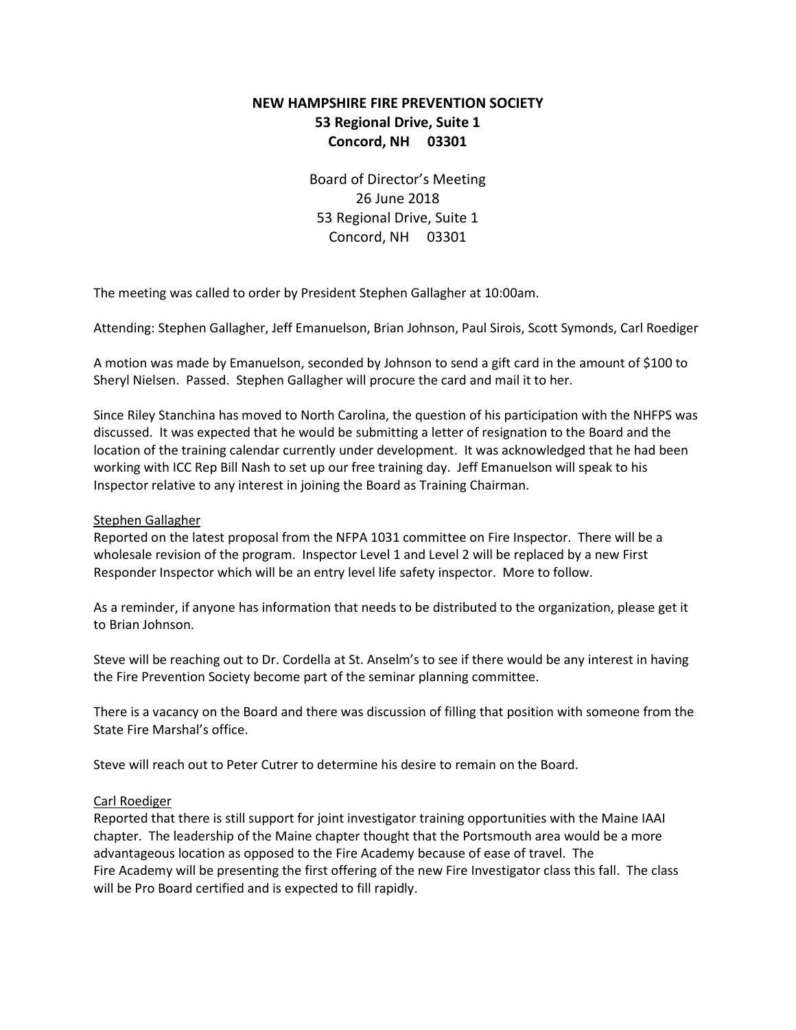# **NEW HAMPSHIRE FIRE PREVENTION SOCIETY 53 Regional Drive, Suite 1 Concord, NH 03301**

Board of Director's Meeting 26 June 2018 53 Regional Drive, Suite 1 Concord, NH 03301

The meeting was called to order by President Stephen Gallagher at 10:00am.

Attending: Stephen Gallagher, Jeff Emanuelson, Brian Johnson, Paul Sirois, Scott Symonds, Carl Roediger

A motion was made by Emanuelson, seconded by Johnson to send a gift card in the amount of \$100 to Sheryl Nielsen. Passed. Stephen Gallagher will procure the card and mail it to her.

Since Riley Stanchina has moved to North Carolina, the question of his participation with the NHFPS was discussed. It was expected that he would be submitting a letter of resignation to the Board and the location of the training calendar currently under development. It was acknowledged that he had been working with ICC Rep Bill Nash to set up our free training day. Jeff Emanuelson will speak to his Inspector relative to any interest in joining the Board as Training Chairman.

### Stephen Gallagher

Reported on the latest proposal from the NFPA 1031 committee on Fire Inspector. There will be a wholesale revision of the program. Inspector Level 1 and Level 2 will be replaced by a new First Responder Inspector which will be an entry level life safety inspector. More to follow.

As a reminder, if anyone has information that needs to be distributed to the organization, please get it to Brian Johnson.

Steve will be reaching out to Dr. Cordella at St. Anselm's to see if there would be any interest in having the Fire Prevention Society become part of the seminar planning committee.

There is a vacancy on the Board and there was discussion of filling that position with someone from the State Fire Marshal's office.

Steve will reach out to Peter Cutrer to determine his desire to remain on the Board.

### Carl Roediger

Reported that there is still support for joint investigator training opportunities with the Maine IAAI chapter. The leadership of the Maine chapter thought that the Portsmouth area would be a more advantageous location as opposed to the Fire Academy because of ease of travel. The Fire Academy will be presenting the first offering of the new Fire Investigator class this fall. The class will be Pro Board certified and is expected to fill rapidly.